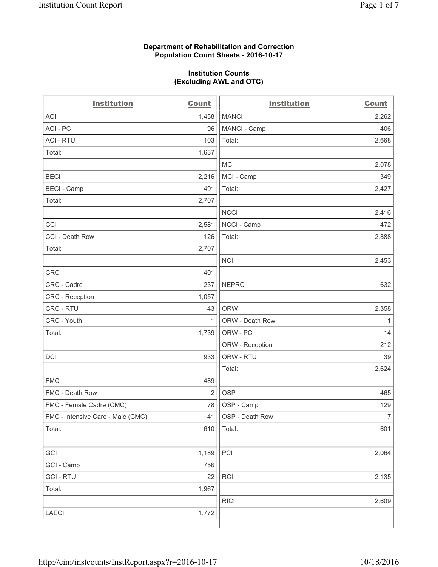### **Department of Rehabilitation and Correction Population Count Sheets - 2016-10-17**

#### **Institution Counts (Excluding AWL and OTC)**

| <b>Institution</b>                | <b>Count</b>   | <b>Institution</b> | <b>Count</b>   |
|-----------------------------------|----------------|--------------------|----------------|
| <b>ACI</b>                        | 1,438          | <b>MANCI</b>       | 2,262          |
| ACI-PC                            | 96             | MANCI - Camp       | 406            |
| <b>ACI - RTU</b>                  | 103            | Total:             | 2,668          |
| Total:                            | 1,637          |                    |                |
|                                   |                | <b>MCI</b>         | 2,078          |
| <b>BECI</b>                       | 2,216          | MCI - Camp         | 349            |
| <b>BECI</b> - Camp                | 491            | Total:             | 2,427          |
| Total:                            | 2,707          |                    |                |
|                                   |                | <b>NCCI</b>        | 2,416          |
| CCI                               | 2,581          | NCCI - Camp        | 472            |
| CCI - Death Row                   | 126            | Total:             | 2,888          |
| Total:                            | 2,707          |                    |                |
|                                   |                | <b>NCI</b>         | 2,453          |
| <b>CRC</b>                        | 401            |                    |                |
| CRC - Cadre                       | 237            | <b>NEPRC</b>       | 632            |
| CRC - Reception                   | 1,057          |                    |                |
| CRC - RTU                         | 43             | <b>ORW</b>         | 2,358          |
| CRC - Youth                       | 1              | ORW - Death Row    | 1              |
| Total:                            | 1,739          | ORW - PC           | 14             |
|                                   |                | ORW - Reception    | 212            |
| DCI                               | 933            | ORW - RTU          | 39             |
|                                   |                | Total:             | 2,624          |
| <b>FMC</b>                        | 489            |                    |                |
| FMC - Death Row                   | $\overline{2}$ | <b>OSP</b>         | 465            |
| FMC - Female Cadre (CMC)          | 78             | OSP - Camp         | 129            |
| FMC - Intensive Care - Male (CMC) | 41             | OSP - Death Row    | $\overline{7}$ |
| Total:                            | 610            | Total:             | 601            |
|                                   |                |                    |                |
| GCI                               | 1,189          | PCI                | 2,064          |
| GCI - Camp                        | 756            |                    |                |
| <b>GCI-RTU</b>                    | 22             | RCI                | 2,135          |
| Total:                            | 1,967          |                    |                |
|                                   |                | <b>RICI</b>        | 2,609          |
| <b>LAECI</b>                      | 1,772          |                    |                |
|                                   |                |                    |                |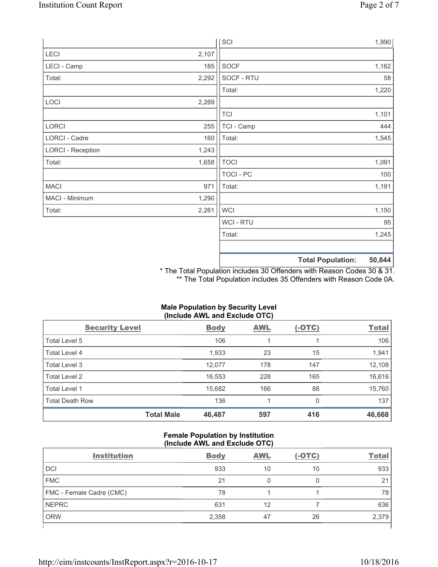|                          |       | SCI            |                          | 1,990  |
|--------------------------|-------|----------------|--------------------------|--------|
| LECI                     | 2,107 |                |                          |        |
| LECI - Camp              | 185   | SOCF           |                          | 1,162  |
| Total:                   | 2,292 | SOCF - RTU     |                          | 58     |
|                          |       | Total:         |                          | 1,220  |
| LOCI                     | 2,269 |                |                          |        |
|                          |       | <b>TCI</b>     |                          | 1,101  |
| LORCI                    | 255   | TCI - Camp     |                          | 444    |
| LORCI - Cadre            | 160   | Total:         |                          | 1,545  |
| <b>LORCI - Reception</b> | 1,243 |                |                          |        |
| Total:                   | 1,658 | <b>TOCI</b>    |                          | 1,091  |
|                          |       | TOCI - PC      |                          | 100    |
| <b>MACI</b>              | 971   | Total:         |                          | 1,191  |
| MACI - Minimum           | 1,290 |                |                          |        |
| Total:                   | 2,261 | <b>WCI</b>     |                          | 1,150  |
|                          |       | <b>WCI-RTU</b> |                          | 95     |
|                          |       | Total:         |                          | 1,245  |
|                          |       |                | <b>Total Population:</b> | 50,844 |

\* The Total Population includes 30 Offenders with Reason Codes 30 & 31. \*\* The Total Population includes 35 Offenders with Reason Code 0A.

# **Male Population by Security Level (Include AWL and Exclude OTC)**

| <b>Security Level</b>  |                   | <b>Body</b> | <b>AWL</b> | <u>(-OTC)</u> | <b>Total</b> |
|------------------------|-------------------|-------------|------------|---------------|--------------|
| Total Level 5          |                   | 106         |            |               | 106          |
| Total Level 4          |                   | 1,933       | 23         | 15            | 1,941        |
| Total Level 3          |                   | 12,077      | 178        | 147           | 12,108       |
| Total Level 2          |                   | 16,553      | 228        | 165           | 16,616       |
| Total Level 1          |                   | 15,682      | 166        | 88            | 15,760       |
| <b>Total Death Row</b> |                   | 136         | 4          | 0             | 137          |
|                        | <b>Total Male</b> | 46,487      | 597        | 416           | 46,668       |

## **Female Population by Institution (Include AWL and Exclude OTC)**

| <b>Institution</b>       | <b>Body</b> | <b>AWL</b> | $(-OTC)$ | <b>Total</b> |
|--------------------------|-------------|------------|----------|--------------|
| <b>DCI</b>               | 933         | 10         | 10       | 933          |
| <b>FMC</b>               | 21          | 0          | 0        | 21           |
| FMC - Female Cadre (CMC) | 78          |            |          | 78           |
| <b>NEPRC</b>             | 631         | 12         |          | 636          |
| <b>ORW</b>               | 2,358       | 47         | 26       | 2,379        |
|                          |             |            |          |              |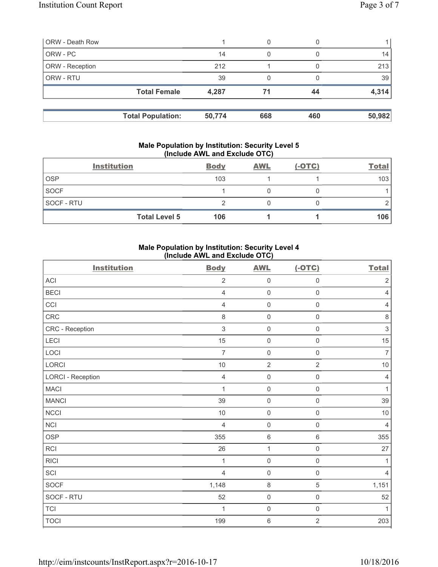| <b>ORW - Death Row</b> |                          |        | 0   |     |                 |
|------------------------|--------------------------|--------|-----|-----|-----------------|
| ORW - PC               |                          | 14     | 0   |     | 14 <sub>1</sub> |
| ORW - Reception        |                          | 212    |     |     | 213             |
| ORW - RTU              |                          | 39     | 0   |     | 39              |
|                        | <b>Total Female</b>      | 4,287  | 71  | 44  | 4,314           |
|                        | <b>Total Population:</b> | 50,774 | 668 | 460 | 50,982          |

#### **Male Population by Institution: Security Level 5 (Include AWL and Exclude OTC)**

|                   | <b>Institution</b>   | <b>Body</b> | <b>AWL</b> | $(-OTC)$ | <b>Total</b> |
|-------------------|----------------------|-------------|------------|----------|--------------|
| <b>OSP</b>        |                      | 103         |            |          | 103          |
| <b>SOCF</b>       |                      |             |            |          |              |
| <b>SOCF - RTU</b> |                      |             |            |          |              |
|                   | <b>Total Level 5</b> | 106         |            |          | 106          |

## **Male Population by Institution: Security Level 4 (Include AWL and Exclude OTC)**

| <b>Institution</b>       | <b>Body</b>    | <b>AWL</b>          | $(-OTC)$            | <b>Total</b>   |
|--------------------------|----------------|---------------------|---------------------|----------------|
| <b>ACI</b>               | $\overline{2}$ | $\mathsf{O}\xspace$ | $\mathsf 0$         | $\sqrt{2}$     |
| <b>BECI</b>              | $\overline{4}$ | $\mathsf{O}\xspace$ | $\mathsf 0$         | $\overline{4}$ |
| CCI                      | $\overline{4}$ | $\mathsf{O}\xspace$ | $\mathsf 0$         | $\overline{4}$ |
| CRC                      | $\,8\,$        | $\mathsf{O}\xspace$ | $\mathsf 0$         | $\,8\,$        |
| CRC - Reception          | $\sqrt{3}$     | $\mathsf{O}\xspace$ | $\mathsf{O}\xspace$ | $\,$ 3 $\,$    |
| LECI                     | 15             | $\mathsf{O}\xspace$ | $\mathsf{O}\xspace$ | 15             |
| LOCI                     | $\overline{7}$ | $\mathsf{O}\xspace$ | $\mathsf{O}\xspace$ | $\overline{7}$ |
| LORCI                    | 10             | $\overline{2}$      | $\overline{2}$      | $10$           |
| <b>LORCI - Reception</b> | $\overline{4}$ | $\mathsf{O}\xspace$ | $\mathbf 0$         | $\overline{4}$ |
| <b>MACI</b>              | 1              | $\mathsf{O}\xspace$ | $\mathsf{O}\xspace$ | $\mathbf{1}$   |
| <b>MANCI</b>             | 39             | $\mathsf{O}\xspace$ | $\mathsf{O}\xspace$ | 39             |
| <b>NCCI</b>              | $10$           | $\mathsf{O}\xspace$ | $\mathsf{O}\xspace$ | $10$           |
| <b>NCI</b>               | $\overline{4}$ | $\mathsf{O}\xspace$ | $\mathsf 0$         | $\overline{4}$ |
| <b>OSP</b>               | 355            | $\,6\,$             | 6                   | 355            |
| <b>RCI</b>               | 26             | $\mathbf{1}$        | $\mathsf{O}\xspace$ | 27             |
| <b>RICI</b>              | 1              | $\mathsf{O}\xspace$ | $\mathsf 0$         | 1              |
| SCI                      | $\overline{4}$ | $\mathsf{O}\xspace$ | $\mathsf{O}\xspace$ | $\overline{4}$ |
| SOCF                     | 1,148          | $\,8\,$             | 5                   | 1,151          |
| SOCF - RTU               | 52             | $\mathsf{O}\xspace$ | $\mathsf{O}\xspace$ | 52             |
| <b>TCI</b>               | 1              | $\mathsf{O}\xspace$ | $\mathsf{O}\xspace$ | $\mathbf{1}$   |
| <b>TOCI</b>              | 199            | $\,$ 6 $\,$         | $\overline{2}$      | 203            |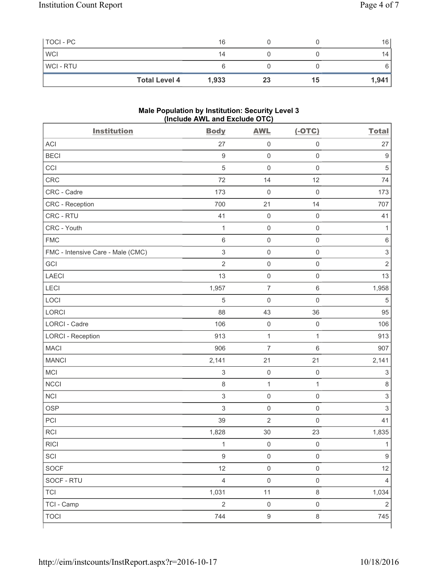| TOCI - PC      |                      | 16    |    |    | 16    |
|----------------|----------------------|-------|----|----|-------|
| <b>WCI</b>     |                      | 14    |    |    | 14    |
| <b>WCI-RTU</b> |                      |       |    |    |       |
|                | <b>Total Level 4</b> | 1,933 | 23 | 15 | 1,941 |

#### **Male Population by Institution: Security Level 3 (Include AWL and Exclude OTC)**

| <b>Institution</b>                | <b>Body</b>      | <b>AWL</b>          | $(-OTC)$            | <b>Total</b>     |
|-----------------------------------|------------------|---------------------|---------------------|------------------|
| <b>ACI</b>                        | 27               | $\mathsf{O}\xspace$ | $\mathsf 0$         | 27               |
| <b>BECI</b>                       | $\hbox{9}$       | $\mathsf{O}\xspace$ | $\mathsf{O}\xspace$ | $\boldsymbol{9}$ |
| CCI                               | $\sqrt{5}$       | $\mathbf 0$         | $\mathsf 0$         | $\sqrt{5}$       |
| CRC                               | 72               | 14                  | 12                  | 74               |
| CRC - Cadre                       | 173              | $\mathbf 0$         | $\mathsf 0$         | 173              |
| CRC - Reception                   | 700              | 21                  | 14                  | 707              |
| CRC - RTU                         | 41               | $\mathsf{O}\xspace$ | $\mathsf 0$         | 41               |
| CRC - Youth                       | $\mathbf{1}$     | $\mathsf{O}\xspace$ | $\mathsf 0$         | 1                |
| <b>FMC</b>                        | 6                | $\mathsf{O}\xspace$ | $\mathsf 0$         | $\,6$            |
| FMC - Intensive Care - Male (CMC) | $\mathsf 3$      | $\mathsf{O}\xspace$ | $\mathsf 0$         | $\mathsf 3$      |
| GCI                               | $\overline{2}$   | $\mathsf{O}\xspace$ | $\mathsf 0$         | $\overline{2}$   |
| <b>LAECI</b>                      | 13               | $\mathsf{O}\xspace$ | $\mathsf 0$         | 13               |
| LECI                              | 1,957            | $\boldsymbol{7}$    | $\,6\,$             | 1,958            |
| LOCI                              | 5                | $\mathbf 0$         | $\mathbf 0$         | 5                |
| LORCI                             | 88               | 43                  | 36                  | 95               |
| <b>LORCI - Cadre</b>              | 106              | $\mathsf{O}\xspace$ | $\mathbf 0$         | 106              |
| <b>LORCI - Reception</b>          | 913              | $\mathbf 1$         | 1                   | 913              |
| <b>MACI</b>                       | 906              | $\overline{7}$      | $\,6\,$             | 907              |
| <b>MANCI</b>                      | 2,141            | 21                  | 21                  | 2,141            |
| MCI                               | $\,$ 3 $\,$      | $\mathsf{O}\xspace$ | $\mathsf{O}\xspace$ | $\,$ 3 $\,$      |
| <b>NCCI</b>                       | 8                | $\mathbf{1}$        | $\mathbf{1}$        | $\,8\,$          |
| <b>NCI</b>                        | $\mathsf 3$      | $\mathsf{O}\xspace$ | $\mathsf 0$         | $\mathsf 3$      |
| <b>OSP</b>                        | $\mathsf 3$      | $\mathsf{O}\xspace$ | $\mathsf{O}\xspace$ | $\,$ 3 $\,$      |
| PCI                               | 39               | $\overline{2}$      | $\mathsf 0$         | 41               |
| RCI                               | 1,828            | 30                  | 23                  | 1,835            |
| RICI                              | $\overline{1}$   | $\mathsf{O}\xspace$ | $\mathsf 0$         | $\mathbf{1}$     |
| SCI                               | $\boldsymbol{9}$ | $\mathsf{O}\xspace$ | $\mathsf{O}\xspace$ | $\boldsymbol{9}$ |
| SOCF                              | 12               | $\mathsf{O}\xspace$ | $\mathsf 0$         | 12               |
| SOCF - RTU                        | $\overline{4}$   | $\mathsf{O}\xspace$ | $\mathsf 0$         | $\overline{4}$   |
| <b>TCI</b>                        | 1,031            | 11                  | $\,8\,$             | 1,034            |
| TCI - Camp                        | $\overline{2}$   | $\mathsf{O}\xspace$ | $\mathsf{O}\xspace$ | $\overline{2}$   |
| <b>TOCI</b>                       | 744              | $\boldsymbol{9}$    | $\,8\,$             | 745              |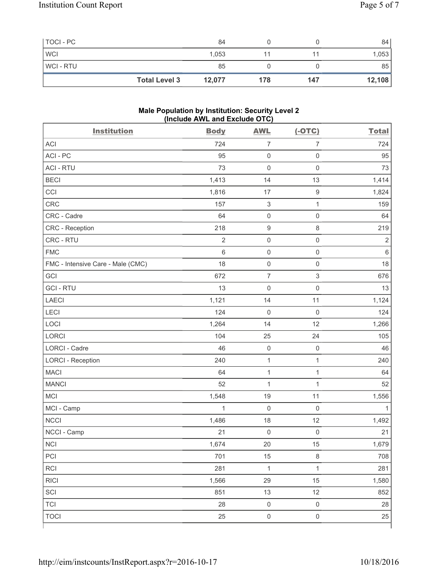| TOCI - PC  |                      | 84     |     |     | 84     |
|------------|----------------------|--------|-----|-----|--------|
| <b>WCI</b> |                      | 1,053  |     |     | 1,053  |
| WCI-RTU    |                      | 85     |     |     | 85     |
|            | <b>Total Level 3</b> | 12,077 | 178 | 147 | 12,108 |

#### **Male Population by Institution: Security Level 2 (Include AWL and Exclude OTC)**

| <b>Institution</b>                | <b>Body</b>    | <b>AWL</b>                | $(-OTC)$                  | <b>Total</b> |
|-----------------------------------|----------------|---------------------------|---------------------------|--------------|
| <b>ACI</b>                        | 724            | $\overline{7}$            | $\overline{7}$            | 724          |
| ACI - PC                          | 95             | $\mathsf{O}\xspace$       | $\mathbf 0$               | 95           |
| <b>ACI - RTU</b>                  | 73             | $\mathsf{O}\xspace$       | $\mathsf{O}\xspace$       | 73           |
| <b>BECI</b>                       | 1,413          | 14                        | 13                        | 1,414        |
| CCI                               | 1,816          | 17                        | $\boldsymbol{9}$          | 1,824        |
| CRC                               | 157            | $\ensuremath{\mathsf{3}}$ | $\mathbf{1}$              | 159          |
| CRC - Cadre                       | 64             | $\mathsf{O}\xspace$       | $\mathsf{O}\xspace$       | 64           |
| CRC - Reception                   | 218            | $\boldsymbol{9}$          | $\,8\,$                   | 219          |
| CRC - RTU                         | $\overline{2}$ | $\mathsf{O}\xspace$       | $\mathsf{O}\xspace$       | $\sqrt{2}$   |
| <b>FMC</b>                        | 6              | $\mathsf 0$               | $\mathsf{O}\xspace$       | $\,6\,$      |
| FMC - Intensive Care - Male (CMC) | 18             | $\mathsf 0$               | $\mathsf{O}\xspace$       | 18           |
| GCI                               | 672            | $\overline{\mathcal{I}}$  | $\ensuremath{\mathsf{3}}$ | 676          |
| <b>GCI-RTU</b>                    | 13             | $\mathsf 0$               | $\mathsf{O}\xspace$       | 13           |
| <b>LAECI</b>                      | 1,121          | 14                        | 11                        | 1,124        |
| LECI                              | 124            | $\mathsf 0$               | $\mathsf 0$               | 124          |
| LOCI                              | 1,264          | 14                        | 12                        | 1,266        |
| LORCI                             | 104            | 25                        | 24                        | 105          |
| <b>LORCI - Cadre</b>              | 46             | $\mathsf{O}\xspace$       | $\mathbf 0$               | 46           |
| <b>LORCI - Reception</b>          | 240            | $\mathbf{1}$              | $\mathbf{1}$              | 240          |
| <b>MACI</b>                       | 64             | $\mathbf{1}$              | $\mathbf{1}$              | 64           |
| <b>MANCI</b>                      | 52             | $\mathbf{1}$              | $\mathbf{1}$              | 52           |
| MCI                               | 1,548          | 19                        | 11                        | 1,556        |
| MCI - Camp                        | $\mathbf 1$    | $\mathsf{O}\xspace$       | $\mathbf 0$               | 1            |
| <b>NCCI</b>                       | 1,486          | 18                        | 12                        | 1,492        |
| NCCI - Camp                       | 21             | $\mathsf 0$               | $\mathsf{O}\xspace$       | 21           |
| $\sf NCI$                         | 1,674          | $20\,$                    | 15                        | 1,679        |
| PCI                               | 701            | 15                        | $\,8\,$                   | 708          |
| <b>RCI</b>                        | 281            | $\mathbf{1}$              | $\mathbf{1}$              | 281          |
| <b>RICI</b>                       | 1,566          | 29                        | 15                        | 1,580        |
| SCI                               | 851            | 13                        | 12                        | 852          |
| <b>TCI</b>                        | 28             | $\mathsf{O}\xspace$       | $\mathsf 0$               | 28           |
| <b>TOCI</b>                       | 25             | $\mathsf{O}\xspace$       | $\mathsf{O}\xspace$       | 25           |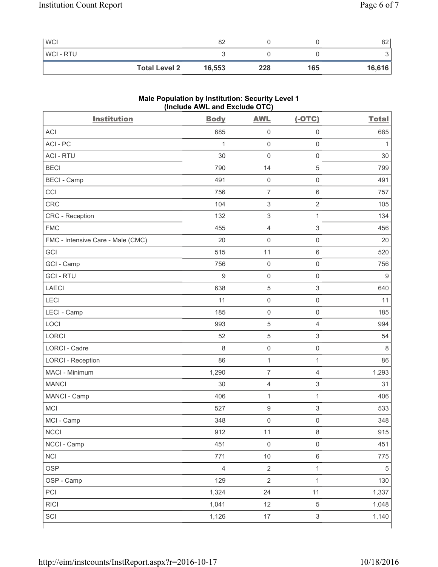| <b>WCI</b>           | 82     |     |     | 82     |
|----------------------|--------|-----|-----|--------|
| <b>WCI-RTU</b>       |        |     |     |        |
| <b>Total Level 2</b> | 16,553 | 228 | 165 | 16,616 |

# **Male Population by Institution: Security Level 1 (Include AWL and Exclude OTC)**

| <b>Institution</b>                | <b>Body</b>    | <b>AWL</b>          | $(-OTC)$                  | <b>Total</b> |
|-----------------------------------|----------------|---------------------|---------------------------|--------------|
| <b>ACI</b>                        | 685            | $\mathsf{O}\xspace$ | $\mathbf 0$               | 685          |
| ACI-PC                            | 1              | $\mathsf{O}\xspace$ | $\mathsf{O}\xspace$       | 1            |
| <b>ACI - RTU</b>                  | 30             | $\mathbf 0$         | $\mathsf{O}\xspace$       | 30           |
| <b>BECI</b>                       | 790            | 14                  | $\sqrt{5}$                | 799          |
| <b>BECI - Camp</b>                | 491            | $\mathsf{O}\xspace$ | $\mathsf{O}\xspace$       | 491          |
| CCI                               | 756            | $\overline{7}$      | $\,6$                     | 757          |
| CRC                               | 104            | $\,$ 3 $\,$         | $\sqrt{2}$                | 105          |
| CRC - Reception                   | 132            | $\,$ 3 $\,$         | $\mathbf{1}$              | 134          |
| <b>FMC</b>                        | 455            | $\overline{4}$      | $\ensuremath{\mathsf{3}}$ | 456          |
| FMC - Intensive Care - Male (CMC) | 20             | $\mathsf{O}\xspace$ | $\mathbf 0$               | 20           |
| GCI                               | 515            | 11                  | $\,6$                     | 520          |
| GCI - Camp                        | 756            | $\mathsf{O}\xspace$ | $\mathsf 0$               | 756          |
| <b>GCI-RTU</b>                    | 9              | $\mathsf{O}\xspace$ | $\mathbf 0$               | 9            |
| <b>LAECI</b>                      | 638            | 5                   | $\ensuremath{\mathsf{3}}$ | 640          |
| LECI                              | 11             | $\mathsf{O}\xspace$ | $\mathsf{O}\xspace$       | 11           |
| LECI - Camp                       | 185            | $\mathsf{O}\xspace$ | $\mathbf 0$               | 185          |
| LOCI                              | 993            | $\mathbf 5$         | $\overline{4}$            | 994          |
| <b>LORCI</b>                      | 52             | $\sqrt{5}$          | $\ensuremath{\mathsf{3}}$ | 54           |
| <b>LORCI - Cadre</b>              | 8              | $\mathsf{O}\xspace$ | $\mathsf{O}\xspace$       | 8            |
| <b>LORCI - Reception</b>          | 86             | $\mathbf{1}$        | $\mathbf{1}$              | 86           |
| MACI - Minimum                    | 1,290          | $\overline{7}$      | $\overline{4}$            | 1,293        |
| <b>MANCI</b>                      | 30             | 4                   | $\ensuremath{\mathsf{3}}$ | 31           |
| MANCI - Camp                      | 406            | $\mathbf{1}$        | $\mathbf{1}$              | 406          |
| <b>MCI</b>                        | 527            | $\boldsymbol{9}$    | $\ensuremath{\mathsf{3}}$ | 533          |
| MCI - Camp                        | 348            | $\mathsf{O}\xspace$ | $\mathbf 0$               | 348          |
| $\sf NCCI$                        | 912            | 11                  | $\,8\,$                   | 915          |
| NCCI - Camp                       | 451            | $\mathsf 0$         | $\mathsf{O}\xspace$       | 451          |
| <b>NCI</b>                        | 771            | $10$                | $\,6\,$                   | 775          |
| <b>OSP</b>                        | $\overline{4}$ | $\overline{2}$      | $\mathbf{1}$              | $\sqrt{5}$   |
| OSP - Camp                        | 129            | $\overline{2}$      | $\mathbf{1}$              | 130          |
| PCI                               | 1,324          | 24                  | 11                        | 1,337        |
| RICI                              | 1,041          | 12                  | $\,$ 5 $\,$               | 1,048        |
| SCI                               | 1,126          | $17\,$              | $\mathfrak{S}$            | 1,140        |
|                                   |                |                     |                           |              |